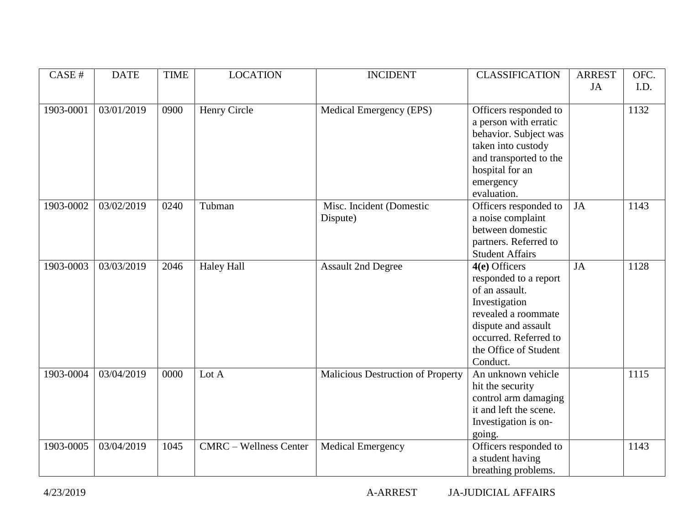| CASE #    | <b>DATE</b> | <b>TIME</b> | <b>LOCATION</b>               | <b>INCIDENT</b>                   | <b>CLASSIFICATION</b>  | <b>ARREST</b> | OFC. |
|-----------|-------------|-------------|-------------------------------|-----------------------------------|------------------------|---------------|------|
|           |             |             |                               |                                   |                        | JA            | I.D. |
|           |             |             |                               |                                   |                        |               |      |
| 1903-0001 | 03/01/2019  | 0900        | Henry Circle                  | Medical Emergency (EPS)           | Officers responded to  |               | 1132 |
|           |             |             |                               |                                   | a person with erratic  |               |      |
|           |             |             |                               |                                   | behavior. Subject was  |               |      |
|           |             |             |                               |                                   | taken into custody     |               |      |
|           |             |             |                               |                                   | and transported to the |               |      |
|           |             |             |                               |                                   | hospital for an        |               |      |
|           |             |             |                               |                                   | emergency              |               |      |
|           |             |             |                               |                                   | evaluation.            |               |      |
| 1903-0002 | 03/02/2019  | 0240        | Tubman                        | Misc. Incident (Domestic          | Officers responded to  | JA            | 1143 |
|           |             |             |                               | Dispute)                          | a noise complaint      |               |      |
|           |             |             |                               |                                   | between domestic       |               |      |
|           |             |             |                               |                                   | partners. Referred to  |               |      |
|           |             |             |                               |                                   | <b>Student Affairs</b> |               |      |
| 1903-0003 | 03/03/2019  | 2046        | <b>Haley Hall</b>             | <b>Assault 2nd Degree</b>         | 4(e) Officers          | JA            | 1128 |
|           |             |             |                               |                                   | responded to a report  |               |      |
|           |             |             |                               |                                   | of an assault.         |               |      |
|           |             |             |                               |                                   | Investigation          |               |      |
|           |             |             |                               |                                   | revealed a roommate    |               |      |
|           |             |             |                               |                                   | dispute and assault    |               |      |
|           |             |             |                               |                                   | occurred. Referred to  |               |      |
|           |             |             |                               |                                   | the Office of Student  |               |      |
|           |             |             |                               |                                   | Conduct.               |               |      |
| 1903-0004 | 03/04/2019  | 0000        | Lot A                         | Malicious Destruction of Property | An unknown vehicle     |               | 1115 |
|           |             |             |                               |                                   | hit the security       |               |      |
|           |             |             |                               |                                   | control arm damaging   |               |      |
|           |             |             |                               |                                   | it and left the scene. |               |      |
|           |             |             |                               |                                   | Investigation is on-   |               |      |
|           |             |             |                               |                                   | going.                 |               |      |
| 1903-0005 | 03/04/2019  | 1045        | <b>CMRC</b> – Wellness Center | <b>Medical Emergency</b>          | Officers responded to  |               | 1143 |
|           |             |             |                               |                                   | a student having       |               |      |
|           |             |             |                               |                                   | breathing problems.    |               |      |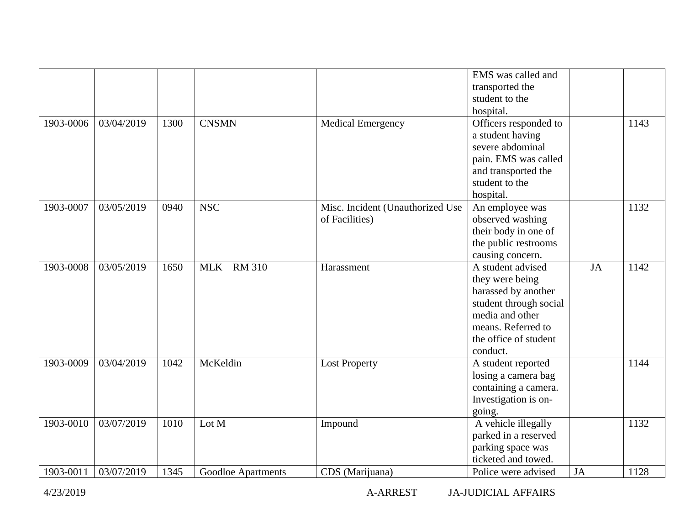|           |            |      |                    |                                                    | EMS was called and<br>transported the<br>student to the<br>hospital.                                                                                                |           |      |
|-----------|------------|------|--------------------|----------------------------------------------------|---------------------------------------------------------------------------------------------------------------------------------------------------------------------|-----------|------|
| 1903-0006 | 03/04/2019 | 1300 | <b>CNSMN</b>       | <b>Medical Emergency</b>                           | Officers responded to<br>a student having<br>severe abdominal<br>pain. EMS was called<br>and transported the<br>student to the<br>hospital.                         |           | 1143 |
| 1903-0007 | 03/05/2019 | 0940 | <b>NSC</b>         | Misc. Incident (Unauthorized Use<br>of Facilities) | An employee was<br>observed washing<br>their body in one of<br>the public restrooms<br>causing concern.                                                             |           | 1132 |
| 1903-0008 | 03/05/2019 | 1650 | $MLK - RM$ 310     | Harassment                                         | A student advised<br>they were being<br>harassed by another<br>student through social<br>media and other<br>means. Referred to<br>the office of student<br>conduct. | <b>JA</b> | 1142 |
| 1903-0009 | 03/04/2019 | 1042 | McKeldin           | <b>Lost Property</b>                               | A student reported<br>losing a camera bag<br>containing a camera.<br>Investigation is on-<br>going.                                                                 |           | 1144 |
| 1903-0010 | 03/07/2019 | 1010 | Lot M              | Impound                                            | A vehicle illegally<br>parked in a reserved<br>parking space was<br>ticketed and towed.                                                                             |           | 1132 |
| 1903-0011 | 03/07/2019 | 1345 | Goodloe Apartments | CDS (Marijuana)                                    | Police were advised                                                                                                                                                 | JA        | 1128 |

4/23/2019 A-ARREST JA-JUDICIAL AFFAIRS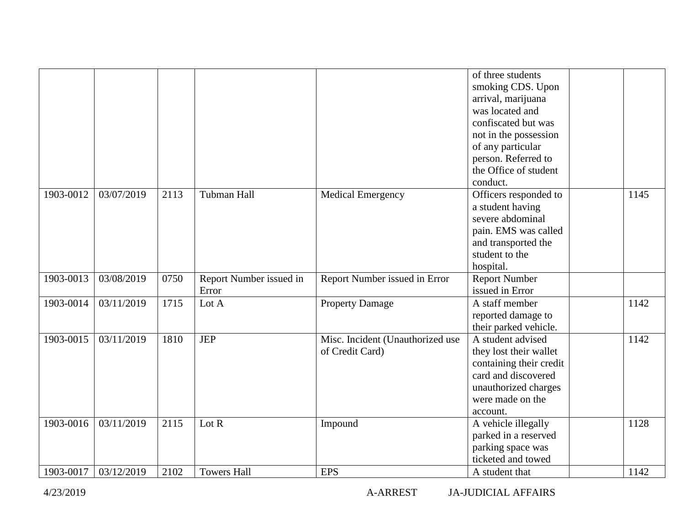|           |            |      |                                  |                                                     | of three students<br>smoking CDS. Upon<br>arrival, marijuana<br>was located and<br>confiscated but was<br>not in the possession<br>of any particular<br>person. Referred to<br>the Office of student |      |
|-----------|------------|------|----------------------------------|-----------------------------------------------------|------------------------------------------------------------------------------------------------------------------------------------------------------------------------------------------------------|------|
| 1903-0012 | 03/07/2019 | 2113 | Tubman Hall                      | <b>Medical Emergency</b>                            | conduct.<br>Officers responded to<br>a student having<br>severe abdominal<br>pain. EMS was called<br>and transported the<br>student to the<br>hospital.                                              | 1145 |
| 1903-0013 | 03/08/2019 | 0750 | Report Number issued in<br>Error | Report Number issued in Error                       | <b>Report Number</b><br>issued in Error                                                                                                                                                              |      |
| 1903-0014 | 03/11/2019 | 1715 | Lot A                            | <b>Property Damage</b>                              | A staff member<br>reported damage to<br>their parked vehicle.                                                                                                                                        | 1142 |
| 1903-0015 | 03/11/2019 | 1810 | <b>JEP</b>                       | Misc. Incident (Unauthorized use<br>of Credit Card) | A student advised<br>they lost their wallet<br>containing their credit<br>card and discovered<br>unauthorized charges<br>were made on the<br>account.                                                | 1142 |
| 1903-0016 | 03/11/2019 | 2115 | Lot $R$                          | Impound                                             | A vehicle illegally<br>parked in a reserved<br>parking space was<br>ticketed and towed                                                                                                               | 1128 |
| 1903-0017 | 03/12/2019 | 2102 | <b>Towers Hall</b>               | <b>EPS</b>                                          | A student that                                                                                                                                                                                       | 1142 |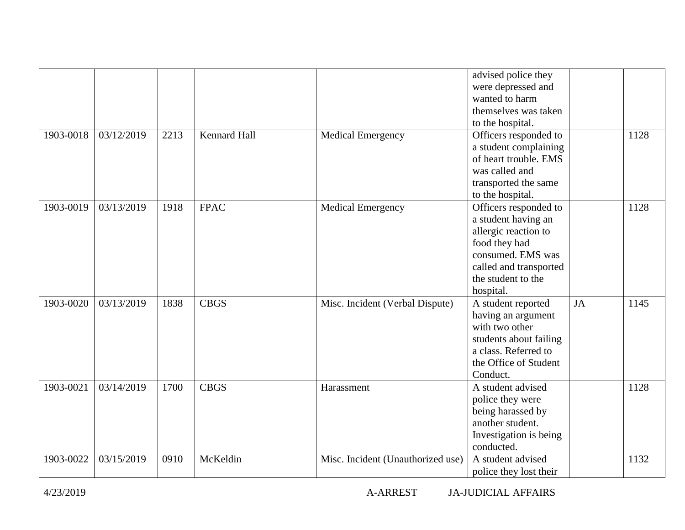|           |            |      |                     |                                   | advised police they<br>were depressed and<br>wanted to harm<br>themselves was taken<br>to the hospital.                                                                 |           |      |
|-----------|------------|------|---------------------|-----------------------------------|-------------------------------------------------------------------------------------------------------------------------------------------------------------------------|-----------|------|
| 1903-0018 | 03/12/2019 | 2213 | <b>Kennard Hall</b> | <b>Medical Emergency</b>          | Officers responded to<br>a student complaining<br>of heart trouble. EMS<br>was called and<br>transported the same<br>to the hospital.                                   |           | 1128 |
| 1903-0019 | 03/13/2019 | 1918 | <b>FPAC</b>         | <b>Medical Emergency</b>          | Officers responded to<br>a student having an<br>allergic reaction to<br>food they had<br>consumed. EMS was<br>called and transported<br>the student to the<br>hospital. |           | 1128 |
| 1903-0020 | 03/13/2019 | 1838 | <b>CBGS</b>         | Misc. Incident (Verbal Dispute)   | A student reported<br>having an argument<br>with two other<br>students about failing<br>a class. Referred to<br>the Office of Student<br>Conduct.                       | <b>JA</b> | 1145 |
| 1903-0021 | 03/14/2019 | 1700 | <b>CBGS</b>         | Harassment                        | A student advised<br>police they were<br>being harassed by<br>another student.<br>Investigation is being<br>conducted.                                                  |           | 1128 |
| 1903-0022 | 03/15/2019 | 0910 | McKeldin            | Misc. Incident (Unauthorized use) | A student advised<br>police they lost their                                                                                                                             |           | 1132 |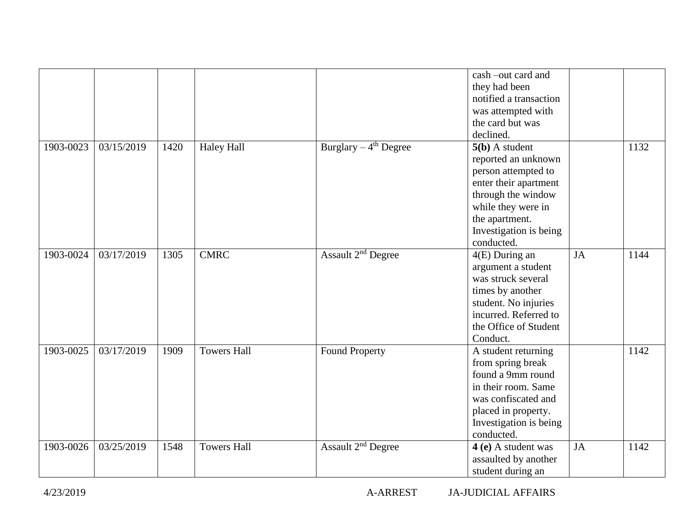|           |            |      |                    |                                    | cash-out card and<br>they had been<br>notified a transaction<br>was attempted with<br>the card but was<br>declined.                                                                           |           |      |
|-----------|------------|------|--------------------|------------------------------------|-----------------------------------------------------------------------------------------------------------------------------------------------------------------------------------------------|-----------|------|
| 1903-0023 | 03/15/2019 | 1420 | <b>Haley Hall</b>  | Burglary $-4$ <sup>th</sup> Degree | $5(b)$ A student<br>reported an unknown<br>person attempted to<br>enter their apartment<br>through the window<br>while they were in<br>the apartment.<br>Investigation is being<br>conducted. |           | 1132 |
| 1903-0024 | 03/17/2019 | 1305 | <b>CMRC</b>        | Assault 2 <sup>nd</sup> Degree     | 4(E) During an<br>argument a student<br>was struck several<br>times by another<br>student. No injuries<br>incurred. Referred to<br>the Office of Student<br>Conduct.                          | <b>JA</b> | 1144 |
| 1903-0025 | 03/17/2019 | 1909 | <b>Towers Hall</b> | <b>Found Property</b>              | A student returning<br>from spring break<br>found a 9mm round<br>in their room. Same<br>was confiscated and<br>placed in property.<br>Investigation is being<br>conducted.                    |           | 1142 |
| 1903-0026 | 03/25/2019 | 1548 | <b>Towers Hall</b> | Assault 2 <sup>nd</sup> Degree     | 4 (e) A student was<br>assaulted by another<br>student during an                                                                                                                              | <b>JA</b> | 1142 |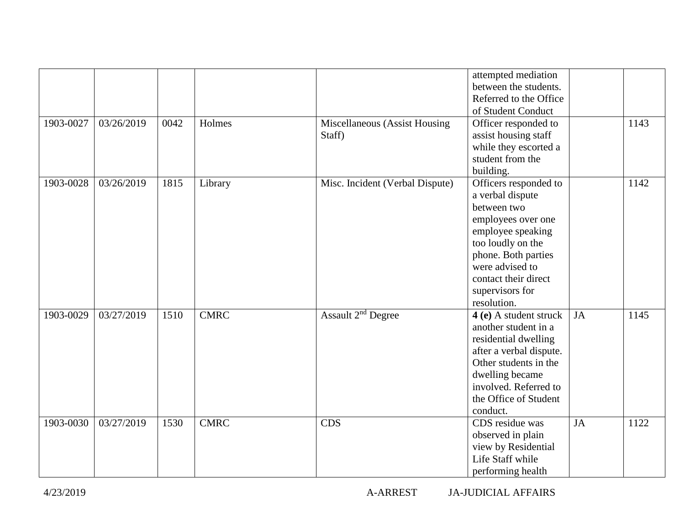|           |            |      |             |                                         | attempted mediation<br>between the students.<br>Referred to the Office<br>of Student Conduct                                                                                                                                 |           |      |
|-----------|------------|------|-------------|-----------------------------------------|------------------------------------------------------------------------------------------------------------------------------------------------------------------------------------------------------------------------------|-----------|------|
| 1903-0027 | 03/26/2019 | 0042 | Holmes      | Miscellaneous (Assist Housing<br>Staff) | Officer responded to<br>assist housing staff<br>while they escorted a<br>student from the<br>building.                                                                                                                       |           | 1143 |
| 1903-0028 | 03/26/2019 | 1815 | Library     | Misc. Incident (Verbal Dispute)         | Officers responded to<br>a verbal dispute<br>between two<br>employees over one<br>employee speaking<br>too loudly on the<br>phone. Both parties<br>were advised to<br>contact their direct<br>supervisors for<br>resolution. |           | 1142 |
| 1903-0029 | 03/27/2019 | 1510 | <b>CMRC</b> | Assault 2 <sup>nd</sup> Degree          | 4 (e) A student struck<br>another student in a<br>residential dwelling<br>after a verbal dispute.<br>Other students in the<br>dwelling became<br>involved. Referred to<br>the Office of Student<br>conduct.                  | <b>JA</b> | 1145 |
| 1903-0030 | 03/27/2019 | 1530 | <b>CMRC</b> | <b>CDS</b>                              | CDS residue was<br>observed in plain<br>view by Residential<br>Life Staff while<br>performing health                                                                                                                         | <b>JA</b> | 1122 |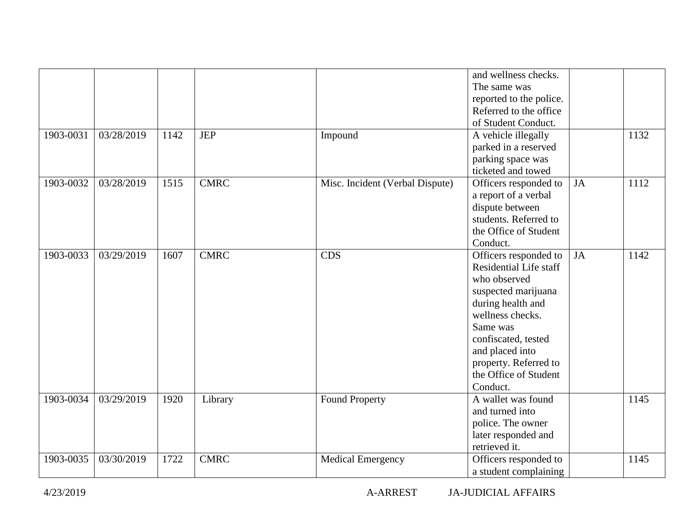| 1903-0031 | 03/28/2019 | 1142 | <b>JEP</b>  | Impound                         | and wellness checks.<br>The same was<br>reported to the police.<br>Referred to the office<br>of Student Conduct.<br>A vehicle illegally<br>parked in a reserved<br>parking space was                                                                       |           | 1132 |
|-----------|------------|------|-------------|---------------------------------|------------------------------------------------------------------------------------------------------------------------------------------------------------------------------------------------------------------------------------------------------------|-----------|------|
| 1903-0032 | 03/28/2019 | 1515 | <b>CMRC</b> | Misc. Incident (Verbal Dispute) | ticketed and towed<br>Officers responded to<br>a report of a verbal<br>dispute between<br>students. Referred to<br>the Office of Student<br>Conduct.                                                                                                       | <b>JA</b> | 1112 |
| 1903-0033 | 03/29/2019 | 1607 | <b>CMRC</b> | <b>CDS</b>                      | Officers responded to<br><b>Residential Life staff</b><br>who observed<br>suspected marijuana<br>during health and<br>wellness checks.<br>Same was<br>confiscated, tested<br>and placed into<br>property. Referred to<br>the Office of Student<br>Conduct. | JA        | 1142 |
| 1903-0034 | 03/29/2019 | 1920 | Library     | Found Property                  | A wallet was found<br>and turned into<br>police. The owner<br>later responded and<br>retrieved it.                                                                                                                                                         |           | 1145 |
| 1903-0035 | 03/30/2019 | 1722 | <b>CMRC</b> | <b>Medical Emergency</b>        | Officers responded to<br>a student complaining                                                                                                                                                                                                             |           | 1145 |